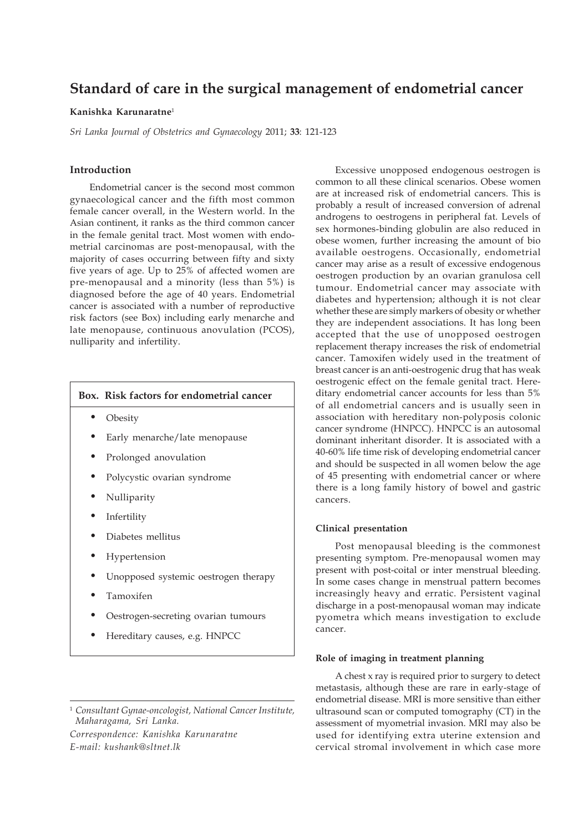# **Standard of care in the surgical management of endometrial cancer**

# **Kanishka Karunaratne**<sup>1</sup>

*Sri Lanka Journal of Obstetrics and Gynaecology* 2011; **33**: 121-123

# **Introduction**

Endometrial cancer is the second most common gynaecological cancer and the fifth most common female cancer overall, in the Western world. In the Asian continent, it ranks as the third common cancer in the female genital tract. Most women with endometrial carcinomas are post-menopausal, with the majority of cases occurring between fifty and sixty five years of age. Up to 25% of affected women are pre-menopausal and a minority (less than 5%) is diagnosed before the age of 40 years. Endometrial cancer is associated with a number of reproductive risk factors (see Box) including early menarche and late menopause, continuous anovulation (PCOS), nulliparity and infertility.

# **Box. Risk factors for endometrial cancer**

- **Obesity**
- Early menarche/late menopause
- Prolonged anovulation
- Polycystic ovarian syndrome
- Nulliparity
- **Infertility**
- Diabetes mellitus
- **Hypertension**
- Unopposed systemic oestrogen therapy
- Tamoxifen
- Oestrogen-secreting ovarian tumours
- Hereditary causes, e.g. HNPCC

*Correspondence: Kanishka Karunaratne E-mail: kushank@sltnet.lk*

Excessive unopposed endogenous oestrogen is common to all these clinical scenarios. Obese women are at increased risk of endometrial cancers. This is probably a result of increased conversion of adrenal androgens to oestrogens in peripheral fat. Levels of sex hormones-binding globulin are also reduced in obese women, further increasing the amount of bio available oestrogens. Occasionally, endometrial cancer may arise as a result of excessive endogenous oestrogen production by an ovarian granulosa cell tumour. Endometrial cancer may associate with diabetes and hypertension; although it is not clear whether these are simply markers of obesity or whether they are independent associations. It has long been accepted that the use of unopposed oestrogen replacement therapy increases the risk of endometrial cancer. Tamoxifen widely used in the treatment of breast cancer is an anti-oestrogenic drug that has weak oestrogenic effect on the female genital tract. Hereditary endometrial cancer accounts for less than 5% of all endometrial cancers and is usually seen in association with hereditary non-polyposis colonic cancer syndrome (HNPCC). HNPCC is an autosomal dominant inheritant disorder. It is associated with a 40-60% life time risk of developing endometrial cancer and should be suspected in all women below the age of 45 presenting with endometrial cancer or where there is a long family history of bowel and gastric cancers.

## **Clinical presentation**

Post menopausal bleeding is the commonest presenting symptom. Pre-menopausal women may present with post-coital or inter menstrual bleeding. In some cases change in menstrual pattern becomes increasingly heavy and erratic. Persistent vaginal discharge in a post-menopausal woman may indicate pyometra which means investigation to exclude cancer.

#### **Role of imaging in treatment planning**

A chest x ray is required prior to surgery to detect metastasis, although these are rare in early-stage of endometrial disease. MRI is more sensitive than either ultrasound scan or computed tomography (CT) in the assessment of myometrial invasion. MRI may also be used for identifying extra uterine extension and cervical stromal involvement in which case more

<sup>1</sup> *Consultant Gynae-oncologist, National Cancer Institute, Maharagama, Sri Lanka.*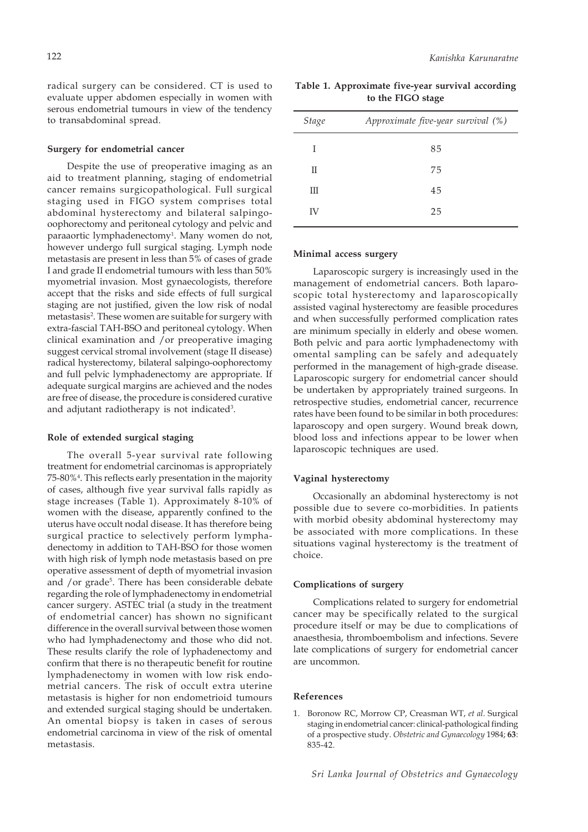radical surgery can be considered. CT is used to evaluate upper abdomen especially in women with serous endometrial tumours in view of the tendency to transabdominal spread.

#### **Surgery for endometrial cancer**

Despite the use of preoperative imaging as an aid to treatment planning, staging of endometrial cancer remains surgicopathological. Full surgical staging used in FIGO system comprises total abdominal hysterectomy and bilateral salpingooophorectomy and peritoneal cytology and pelvic and paraaortic lymphadenectomy<sup>1</sup>. Many women do not, however undergo full surgical staging. Lymph node metastasis are present in less than 5% of cases of grade I and grade II endometrial tumours with less than 50% myometrial invasion. Most gynaecologists, therefore accept that the risks and side effects of full surgical staging are not justified, given the low risk of nodal metastasis2 . These women are suitable for surgery with extra-fascial TAH-BSO and peritoneal cytology. When clinical examination and /or preoperative imaging suggest cervical stromal involvement (stage II disease) radical hysterectomy, bilateral salpingo-oophorectomy and full pelvic lymphadenectomy are appropriate. If adequate surgical margins are achieved and the nodes are free of disease, the procedure is considered curative and adjutant radiotherapy is not indicated<sup>3</sup>.

# **Role of extended surgical staging**

The overall 5-year survival rate following treatment for endometrial carcinomas is appropriately 75-80%4 . This reflects early presentation in the majority of cases, although five year survival falls rapidly as stage increases (Table 1). Approximately 8-10% of women with the disease, apparently confined to the uterus have occult nodal disease. It has therefore being surgical practice to selectively perform lymphadenectomy in addition to TAH-BSO for those women with high risk of lymph node metastasis based on pre operative assessment of depth of myometrial invasion and /or grade<sup>5</sup>. There has been considerable debate regarding the role of lymphadenectomy in endometrial cancer surgery. ASTEC trial (a study in the treatment of endometrial cancer) has shown no significant difference in the overall survival between those women who had lymphadenectomy and those who did not. These results clarify the role of lyphadenectomy and confirm that there is no therapeutic benefit for routine lymphadenectomy in women with low risk endometrial cancers. The risk of occult extra uterine metastasis is higher for non endometrioid tumours and extended surgical staging should be undertaken. An omental biopsy is taken in cases of serous endometrial carcinoma in view of the risk of omental metastasis.

**Table 1. Approximate five-year survival according to the FIGO stage**

| <b>Stage</b> | Approximate five-year survival (%) |
|--------------|------------------------------------|
| L            | 85                                 |
| П            | 75                                 |
| Ш            | 45                                 |
| IV           | 25                                 |

# **Minimal access surgery**

Laparoscopic surgery is increasingly used in the management of endometrial cancers. Both laparoscopic total hysterectomy and laparoscopically assisted vaginal hysterectomy are feasible procedures and when successfully performed complication rates are minimum specially in elderly and obese women. Both pelvic and para aortic lymphadenectomy with omental sampling can be safely and adequately performed in the management of high-grade disease. Laparoscopic surgery for endometrial cancer should be undertaken by appropriately trained surgeons. In retrospective studies, endometrial cancer, recurrence rates have been found to be similar in both procedures: laparoscopy and open surgery. Wound break down, blood loss and infections appear to be lower when laparoscopic techniques are used.

#### **Vaginal hysterectomy**

Occasionally an abdominal hysterectomy is not possible due to severe co-morbidities. In patients with morbid obesity abdominal hysterectomy may be associated with more complications. In these situations vaginal hysterectomy is the treatment of choice.

### **Complications of surgery**

Complications related to surgery for endometrial cancer may be specifically related to the surgical procedure itself or may be due to complications of anaesthesia, thromboembolism and infections. Severe late complications of surgery for endometrial cancer are uncommon.

#### **References**

1. Boronow RC, Morrow CP, Creasman WT, *et al*. Surgical staging in endometrial cancer: clinical-pathological finding of a prospective study. *Obstetric and Gynaecology* 1984; **63**: 835-42.